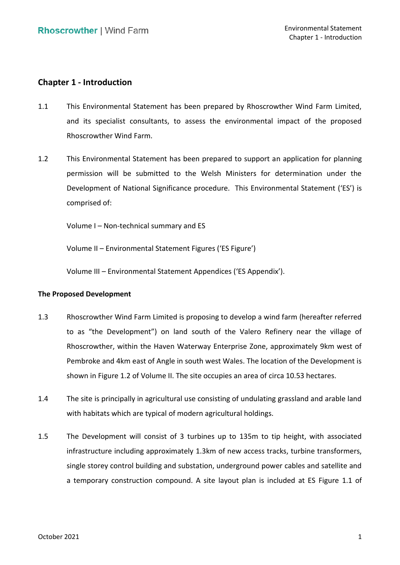# **Chapter 1 - Introduction**

- 1.1 This Environmental Statement has been prepared by Rhoscrowther Wind Farm Limited, Rhoscrowther Wind Farm. and its specialist consultants, to assess the environmental impact of the proposed
- 1.2 This Environmental Statement has been prepared to support an application for planning permission will be submitted to the Welsh Ministers for determination under the Development of National Significance procedure. This Environmental Statement ('ES') is comprised of:

Volume I – Non-technical summary and ES

Volume II – Environmental Statement Figures ('ES Figure')

Volume III – Environmental Statement Appendices ('ES Appendix').

## **The Proposed Development**

- 1.3 Rhoscrowther Wind Farm Limited is proposing to develop a wind farm (hereafter referred to as "the Development") on land south of the Valero Refinery near the village of Rhoscrowther, within the Haven Waterway Enterprise Zone, approximately 9km west of Pembroke and 4km east of Angle in south west Wales. The location of the Development is shown in Figure 1.2 of Volume II. The site occupies an area of circa 10.53 hectares.
- 1.4 The site is principally in agricultural use consisting of undulating grassland and arable land with habitats which are typical of modern agricultural holdings.
- 1.5 The Development will consist of 3 turbines up to 135m to tip height, with associated single storey control building and substation, underground power cables and satellite and a temporary construction compound. A site layout plan is included at ES Figure 1.1 of infrastructure including approximately 1.3km of new access tracks, turbine transformers,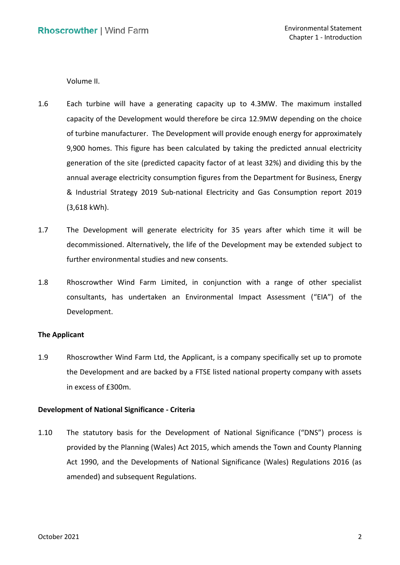Volume II.

- capacity of the Development would therefore be circa 12.9MW depending on the choice of turbine manufacturer. The Development will provide enough energy for approximately 9,900 homes. This figure has been calculated by taking the predicted annual electricity generation of the site (predicted capacity factor of at least 32%) and dividing this by the annual average electricity consumption figures from the Department for Business, Energy & Industrial Strategy 2019 Sub-national Electricity and Gas Consumption report 2019 1.6 Each turbine will have a generating capacity up to 4.3MW. The maximum installed (3,618 kWh).
- 1.7 The Development will generate electricity for 35 years after which time it will be decommissioned. Alternatively, the life of the Development may be extended subject to further environmental studies and new consents.
- 1.8 Rhoscrowther Wind Farm Limited, in conjunction with a range of other specialist consultants, has undertaken an Environmental Impact Assessment ("EIA") of the Development.

### **The Applicant**

 1.9 Rhoscrowther Wind Farm Ltd, the Applicant, is a company specifically set up to promote the Development and are backed by a FTSE listed national property company with assets in excess of £300m.

## **Development of National Significance - Criteria**

 provided by the Planning (Wales) Act 2015, which amends the Town and County Planning Act 1990, and the Developments of National Significance (Wales) Regulations 2016 (as 1.10 The statutory basis for the Development of National Significance ("DNS") process is amended) and subsequent Regulations.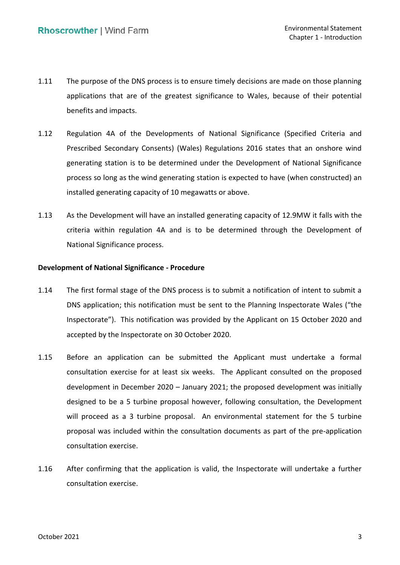- 1.11 The purpose of the DNS process is to ensure timely decisions are made on those planning applications that are of the greatest significance to Wales, because of their potential benefits and impacts.
- 1.12 Regulation 4A of the Developments of National Significance (Specified Criteria and Prescribed Secondary Consents) (Wales) Regulations 2016 states that an onshore wind generating station is to be determined under the Development of National Significance process so long as the wind generating station is expected to have (when constructed) an installed generating capacity of 10 megawatts or above.
- 1.13 As the Development will have an installed generating capacity of 12.9MW it falls with the criteria within regulation 4A and is to be determined through the Development of National Significance process.

### **Development of National Significance - Procedure**

- 1.14 The first formal stage of the DNS process is to submit a notification of intent to submit a Inspectorate"). This notification was provided by the Applicant on 15 October 2020 and accepted by the Inspectorate on 30 October 2020. DNS application; this notification must be sent to the Planning Inspectorate Wales ("the
- 1.15 Before an application can be submitted the Applicant must undertake a formal consultation exercise for at least six weeks. The Applicant consulted on the proposed development in December 2020 – January 2021; the proposed development was initially will proceed as a 3 turbine proposal. An environmental statement for the 5 turbine proposal was included within the consultation documents as part of the pre-application designed to be a 5 turbine proposal however, following consultation, the Development consultation exercise.
- 1.16 After confirming that the application is valid, the Inspectorate will undertake a further consultation exercise.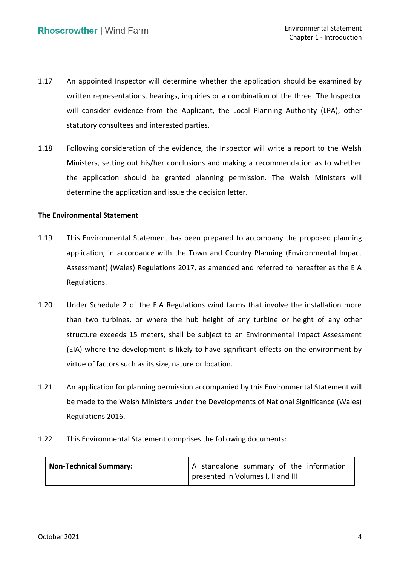- 1.17 An appointed Inspector will determine whether the application should be examined by written representations, hearings, inquiries or a combination of the three. The Inspector statutory consultees and interested parties. will consider evidence from the Applicant, the Local Planning Authority (LPA), other
- the application should be granted planning permission. The Welsh Ministers will determine the application and issue the decision letter. 1.18 Following consideration of the evidence, the Inspector will write a report to the Welsh Ministers, setting out his/her conclusions and making a recommendation as to whether

#### **The Environmental Statement**

- 1.19 This Environmental Statement has been prepared to accompany the proposed planning application, in accordance with the Town and Country Planning (Environmental Impact Assessment) (Wales) Regulations 2017, as amended and referred to hereafter as the EIA Regulations.
- 1.20 Under Schedule 2 of the EIA Regulations wind farms that involve the installation more than two turbines, or where the hub height of any turbine or height of any other structure exceeds 15 meters, shall be subject to an Environmental Impact Assessment (EIA) where the development is likely to have significant effects on the environment by virtue of factors such as its size, nature or location.
- 1.21 An application for planning permission accompanied by this Environmental Statement will be made to the Welsh Ministers under the Developments of National Significance (Wales) Regulations 2016.
- 1.22 This Environmental Statement comprises the following documents:

| <b>Non-Technical Summary:</b> | A standalone summary of the information |
|-------------------------------|-----------------------------------------|
|                               | presented in Volumes I, II and III      |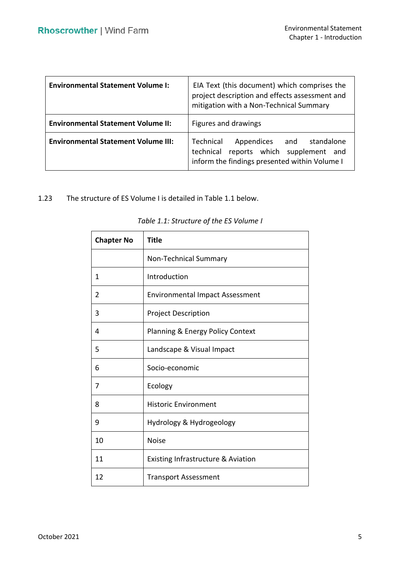| <b>Environmental Statement Volume I:</b>   | EIA Text (this document) which comprises the<br>project description and effects assessment and<br>mitigation with a Non-Technical Summary |  |
|--------------------------------------------|-------------------------------------------------------------------------------------------------------------------------------------------|--|
| <b>Environmental Statement Volume II:</b>  | Figures and drawings                                                                                                                      |  |
| <b>Environmental Statement Volume III:</b> | Technical<br>Appendices and standalone<br>reports which supplement and<br>technical<br>inform the findings presented within Volume I      |  |

## 1.23 The structure of ES Volume I is detailed in Table 1.1 below.

| <b>Chapter No</b> | <b>Title</b>                                  |
|-------------------|-----------------------------------------------|
|                   | Non-Technical Summary                         |
| 1                 | Introduction                                  |
| 2                 | <b>Environmental Impact Assessment</b>        |
| 3                 | <b>Project Description</b>                    |
| 4                 | <b>Planning &amp; Energy Policy Context</b>   |
| 5                 | Landscape & Visual Impact                     |
| 6                 | Socio-economic                                |
| 7                 | Ecology                                       |
| 8                 | <b>Historic Environment</b>                   |
| 9                 | Hydrology & Hydrogeology                      |
| 10                | <b>Noise</b>                                  |
| 11                | <b>Existing Infrastructure &amp; Aviation</b> |
| 12                | <b>Transport Assessment</b>                   |

| Table 1.1: Structure of the ES Volume I |  |
|-----------------------------------------|--|
|-----------------------------------------|--|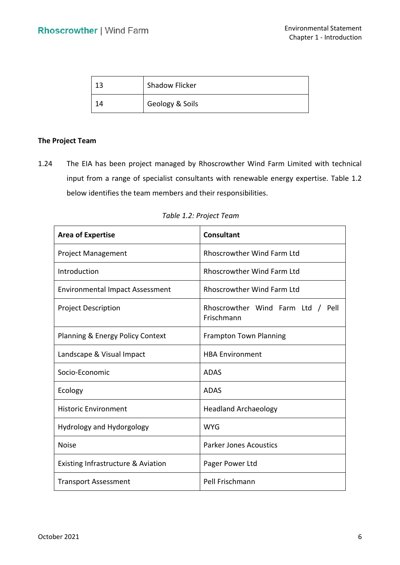|    | <b>Shadow Flicker</b> |
|----|-----------------------|
| 14 | Geology & Soils       |

### **The Project Team**

 1.24 The EIA has been project managed by Rhoscrowther Wind Farm Limited with technical input from a range of specialist consultants with renewable energy expertise. Table 1.2 below identifies the team members and their responsibilities.

| <b>Area of Expertise</b>                    | Consultant                                      |
|---------------------------------------------|-------------------------------------------------|
| <b>Project Management</b>                   | <b>Rhoscrowther Wind Farm Ltd</b>               |
| Introduction                                | <b>Rhoscrowther Wind Farm Ltd</b>               |
| <b>Environmental Impact Assessment</b>      | <b>Rhoscrowther Wind Farm Ltd</b>               |
| <b>Project Description</b>                  | Rhoscrowther Wind Farm Ltd / Pell<br>Frischmann |
| <b>Planning &amp; Energy Policy Context</b> | <b>Frampton Town Planning</b>                   |
| Landscape & Visual Impact                   | <b>HBA Environment</b>                          |
| Socio-Economic                              | <b>ADAS</b>                                     |
| Ecology                                     | <b>ADAS</b>                                     |
| <b>Historic Environment</b>                 | <b>Headland Archaeology</b>                     |
| Hydrology and Hydorgology                   | <b>WYG</b>                                      |
| <b>Noise</b>                                | <b>Parker Jones Acoustics</b>                   |
| Existing Infrastructure & Aviation          | Pager Power Ltd                                 |
| <b>Transport Assessment</b>                 | Pell Frischmann                                 |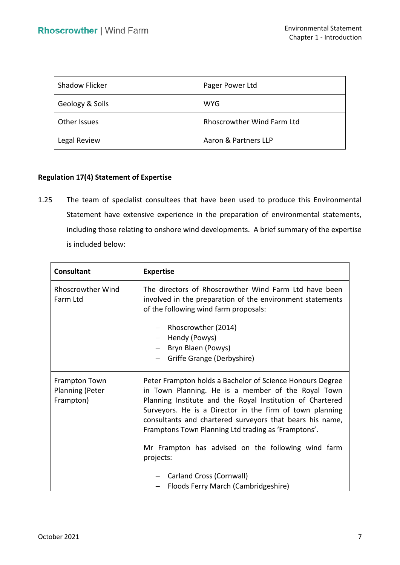| <b>Shadow Flicker</b> | Pager Power Ltd            |
|-----------------------|----------------------------|
| Geology & Soils       | <b>WYG</b>                 |
| Other Issues          | Rhoscrowther Wind Farm Ltd |
| Legal Review          | Aaron & Partners LLP       |

# **Regulation 17(4) Statement of Expertise**

 1.25 The team of specialist consultees that have been used to produce this Environmental Statement have extensive experience in the preparation of environmental statements, including those relating to onshore wind developments. A brief summary of the expertise is included below:

| <b>Consultant</b>                                    | <b>Expertise</b>                                                                                                                                                                                                                                                                                                                                                                                                                                                                                  |
|------------------------------------------------------|---------------------------------------------------------------------------------------------------------------------------------------------------------------------------------------------------------------------------------------------------------------------------------------------------------------------------------------------------------------------------------------------------------------------------------------------------------------------------------------------------|
| <b>Rhoscrowther Wind</b><br>Farm Ltd                 | The directors of Rhoscrowther Wind Farm Ltd have been<br>involved in the preparation of the environment statements<br>of the following wind farm proposals:<br>Rhoscrowther (2014)<br>Hendy (Powys)<br>Bryn Blaen (Powys)<br>Griffe Grange (Derbyshire)                                                                                                                                                                                                                                           |
| Frampton Town<br><b>Planning (Peter</b><br>Frampton) | Peter Frampton holds a Bachelor of Science Honours Degree<br>in Town Planning. He is a member of the Royal Town<br>Planning Institute and the Royal Institution of Chartered<br>Surveyors. He is a Director in the firm of town planning<br>consultants and chartered surveyors that bears his name,<br>Framptons Town Planning Ltd trading as 'Framptons'.<br>Mr Frampton has advised on the following wind farm<br>projects:<br>Carland Cross (Cornwall)<br>Floods Ferry March (Cambridgeshire) |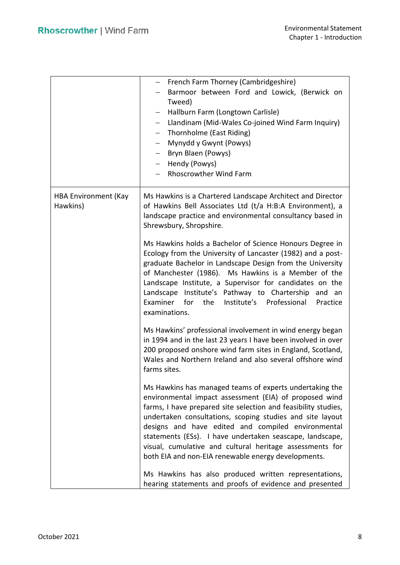|                                         | - French Farm Thorney (Cambridgeshire)<br>Barmoor between Ford and Lowick, (Berwick on<br>Tweed)<br>Hallburn Farm (Longtown Carlisle)<br>Llandinam (Mid-Wales Co-joined Wind Farm Inquiry)<br>Thornholme (East Riding)<br>Mynydd y Gwynt (Powys)<br>$-$<br>Bryn Blaen (Powys)<br>- Hendy (Powys)<br><b>Rhoscrowther Wind Farm</b>                                                                                                                                                     |  |
|-----------------------------------------|---------------------------------------------------------------------------------------------------------------------------------------------------------------------------------------------------------------------------------------------------------------------------------------------------------------------------------------------------------------------------------------------------------------------------------------------------------------------------------------|--|
| <b>HBA Environment (Kay</b><br>Hawkins) | Ms Hawkins is a Chartered Landscape Architect and Director<br>of Hawkins Bell Associates Ltd (t/a H:B:A Environment), a<br>landscape practice and environmental consultancy based in<br>Shrewsbury, Shropshire.                                                                                                                                                                                                                                                                       |  |
|                                         | Ms Hawkins holds a Bachelor of Science Honours Degree in<br>Ecology from the University of Lancaster (1982) and a post-<br>graduate Bachelor in Landscape Design from the University<br>of Manchester (1986). Ms Hawkins is a Member of the<br>Landscape Institute, a Supervisor for candidates on the<br>Landscape Institute's Pathway to Chartership and an<br>Examiner<br>Institute's Professional<br>for<br>the<br>Practice<br>examinations.                                      |  |
|                                         | Ms Hawkins' professional involvement in wind energy began<br>in 1994 and in the last 23 years I have been involved in over<br>200 proposed onshore wind farm sites in England, Scotland,<br>Wales and Northern Ireland and also several offshore wind<br>farms sites.                                                                                                                                                                                                                 |  |
|                                         | Ms Hawkins has managed teams of experts undertaking the<br>environmental impact assessment (EIA) of proposed wind<br>farms, I have prepared site selection and feasibility studies,<br>undertaken consultations, scoping studies and site layout<br>designs and have edited and compiled environmental<br>statements (ESs). I have undertaken seascape, landscape,<br>visual, cumulative and cultural heritage assessments for<br>both EIA and non-EIA renewable energy developments. |  |
|                                         | Ms Hawkins has also produced written representations,<br>hearing statements and proofs of evidence and presented                                                                                                                                                                                                                                                                                                                                                                      |  |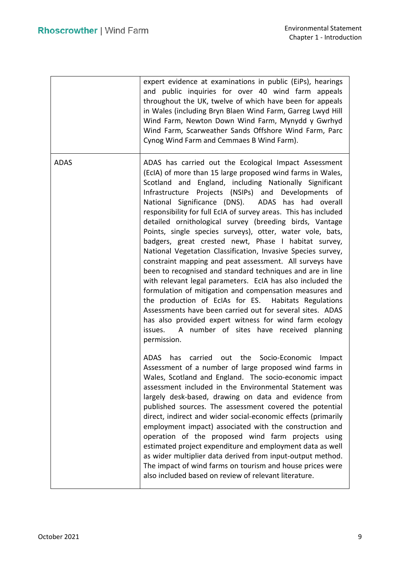|             | expert evidence at examinations in public (EiPs), hearings<br>and public inquiries for over 40 wind farm appeals<br>throughout the UK, twelve of which have been for appeals<br>in Wales (including Bryn Blaen Wind Farm, Garreg Lwyd Hill<br>Wind Farm, Newton Down Wind Farm, Mynydd y Gwrhyd<br>Wind Farm, Scarweather Sands Offshore Wind Farm, Parc<br>Cynog Wind Farm and Cemmaes B Wind Farm).                                                                                                                                                                                                                                                                                                                                                                                                                                                                                                                                                                                                                                                                                                             |
|-------------|-------------------------------------------------------------------------------------------------------------------------------------------------------------------------------------------------------------------------------------------------------------------------------------------------------------------------------------------------------------------------------------------------------------------------------------------------------------------------------------------------------------------------------------------------------------------------------------------------------------------------------------------------------------------------------------------------------------------------------------------------------------------------------------------------------------------------------------------------------------------------------------------------------------------------------------------------------------------------------------------------------------------------------------------------------------------------------------------------------------------|
| <b>ADAS</b> | ADAS has carried out the Ecological Impact Assessment<br>(EcIA) of more than 15 large proposed wind farms in Wales,<br>Scotland and England, including Nationally Significant<br>Infrastructure Projects (NSIPs) and Developments of<br>National Significance (DNS). ADAS has had overall<br>responsibility for full EcIA of survey areas. This has included<br>detailed ornithological survey (breeding birds, Vantage<br>Points, single species surveys), otter, water vole, bats,<br>badgers, great crested newt, Phase I habitat survey,<br>National Vegetation Classification, Invasive Species survey,<br>constraint mapping and peat assessment. All surveys have<br>been to recognised and standard techniques and are in line<br>with relevant legal parameters. EcIA has also included the<br>formulation of mitigation and compensation measures and<br>the production of EcIAs for ES. Habitats Regulations<br>Assessments have been carried out for several sites. ADAS<br>has also provided expert witness for wind farm ecology<br>issues. A number of sites have received planning<br>permission. |
|             | carried out the Socio-Economic<br><b>ADAS</b><br>has<br>Impact<br>Assessment of a number of large proposed wind farms in<br>Wales, Scotland and England. The socio-economic impact<br>assessment included in the Environmental Statement was<br>largely desk-based, drawing on data and evidence from<br>published sources. The assessment covered the potential<br>direct, indirect and wider social-economic effects (primarily<br>employment impact) associated with the construction and<br>operation of the proposed wind farm projects using<br>estimated project expenditure and employment data as well<br>as wider multiplier data derived from input-output method.<br>The impact of wind farms on tourism and house prices were<br>also included based on review of relevant literature.                                                                                                                                                                                                                                                                                                               |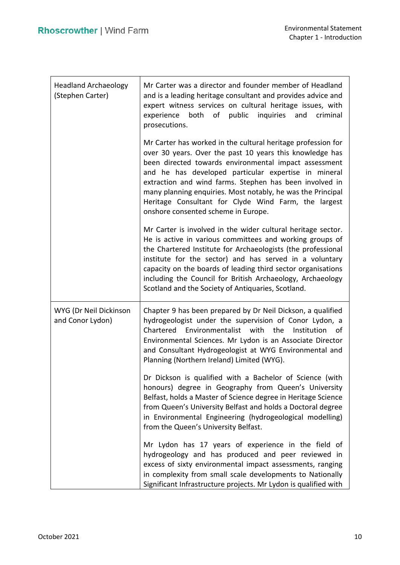| <b>Headland Archaeology</b><br>(Stephen Carter) | Mr Carter was a director and founder member of Headland<br>and is a leading heritage consultant and provides advice and<br>expert witness services on cultural heritage issues, with<br>experience both of public inquiries and<br>criminal<br>prosecutions.                                                                                                                                                                                                       |
|-------------------------------------------------|--------------------------------------------------------------------------------------------------------------------------------------------------------------------------------------------------------------------------------------------------------------------------------------------------------------------------------------------------------------------------------------------------------------------------------------------------------------------|
|                                                 | Mr Carter has worked in the cultural heritage profession for<br>over 30 years. Over the past 10 years this knowledge has<br>been directed towards environmental impact assessment<br>and he has developed particular expertise in mineral<br>extraction and wind farms. Stephen has been involved in<br>many planning enquiries. Most notably, he was the Principal<br>Heritage Consultant for Clyde Wind Farm, the largest<br>onshore consented scheme in Europe. |
|                                                 | Mr Carter is involved in the wider cultural heritage sector.<br>He is active in various committees and working groups of<br>the Chartered Institute for Archaeologists (the professional<br>institute for the sector) and has served in a voluntary<br>capacity on the boards of leading third sector organisations<br>including the Council for British Archaeology, Archaeology<br>Scotland and the Society of Antiquaries, Scotland.                            |
| WYG (Dr Neil Dickinson<br>and Conor Lydon)      | Chapter 9 has been prepared by Dr Neil Dickson, a qualified<br>hydrogeologist under the supervision of Conor Lydon, a<br>Chartered Environmentalist with the<br>Institution of<br>Environmental Sciences. Mr Lydon is an Associate Director<br>and Consultant Hydrogeologist at WYG Environmental and<br>Planning (Northern Ireland) Limited (WYG).                                                                                                                |
|                                                 | Dr Dickson is qualified with a Bachelor of Science (with<br>honours) degree in Geography from Queen's University<br>Belfast, holds a Master of Science degree in Heritage Science<br>from Queen's University Belfast and holds a Doctoral degree<br>in Environmental Engineering (hydrogeological modelling)<br>from the Queen's University Belfast.                                                                                                               |
|                                                 | Mr Lydon has 17 years of experience in the field of<br>hydrogeology and has produced and peer reviewed in<br>excess of sixty environmental impact assessments, ranging<br>in complexity from small scale developments to Nationally<br>Significant Infrastructure projects. Mr Lydon is qualified with                                                                                                                                                             |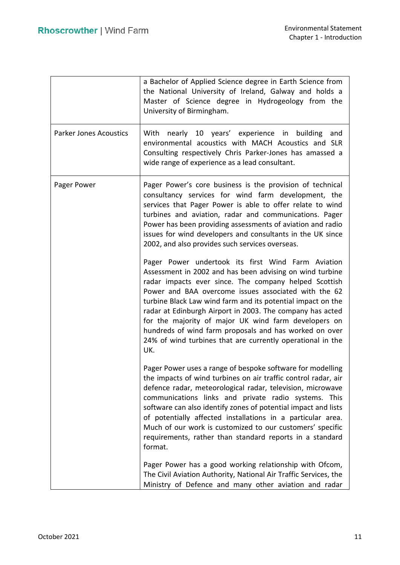|                               | a Bachelor of Applied Science degree in Earth Science from<br>the National University of Ireland, Galway and holds a<br>Master of Science degree in Hydrogeology from the<br>University of Birmingham.                                                                                                                                                                                                                                                                                                                                             |
|-------------------------------|----------------------------------------------------------------------------------------------------------------------------------------------------------------------------------------------------------------------------------------------------------------------------------------------------------------------------------------------------------------------------------------------------------------------------------------------------------------------------------------------------------------------------------------------------|
| <b>Parker Jones Acoustics</b> | With nearly 10 years' experience in building<br>and<br>environmental acoustics with MACH Acoustics and SLR<br>Consulting respectively Chris Parker-Jones has amassed a<br>wide range of experience as a lead consultant.                                                                                                                                                                                                                                                                                                                           |
| Pager Power                   | Pager Power's core business is the provision of technical<br>consultancy services for wind farm development, the<br>services that Pager Power is able to offer relate to wind<br>turbines and aviation, radar and communications. Pager<br>Power has been providing assessments of aviation and radio<br>issues for wind developers and consultants in the UK since<br>2002, and also provides such services overseas.                                                                                                                             |
|                               | Pager Power undertook its first Wind Farm Aviation<br>Assessment in 2002 and has been advising on wind turbine<br>radar impacts ever since. The company helped Scottish<br>Power and BAA overcome issues associated with the 62<br>turbine Black Law wind farm and its potential impact on the<br>radar at Edinburgh Airport in 2003. The company has acted<br>for the majority of major UK wind farm developers on<br>hundreds of wind farm proposals and has worked on over<br>24% of wind turbines that are currently operational in the<br>UK. |
|                               | Pager Power uses a range of bespoke software for modelling<br>the impacts of wind turbines on air traffic control radar, air<br>defence radar, meteorological radar, television, microwave<br>communications links and private radio systems. This<br>software can also identify zones of potential impact and lists<br>of potentially affected installations in a particular area.<br>Much of our work is customized to our customers' specific<br>requirements, rather than standard reports in a standard<br>format.                            |
|                               | Pager Power has a good working relationship with Ofcom,<br>The Civil Aviation Authority, National Air Traffic Services, the<br>Ministry of Defence and many other aviation and radar                                                                                                                                                                                                                                                                                                                                                               |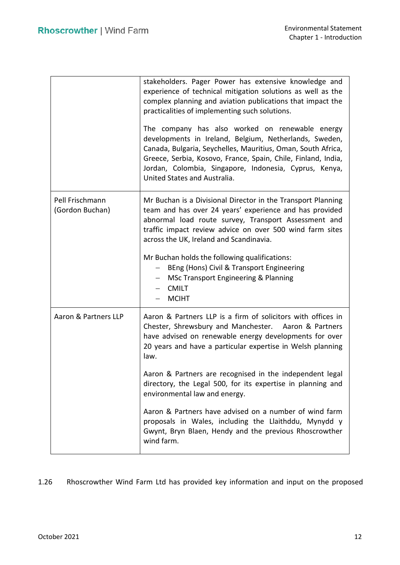|                                    | stakeholders. Pager Power has extensive knowledge and<br>experience of technical mitigation solutions as well as the<br>complex planning and aviation publications that impact the<br>practicalities of implementing such solutions.                                                                                                 |
|------------------------------------|--------------------------------------------------------------------------------------------------------------------------------------------------------------------------------------------------------------------------------------------------------------------------------------------------------------------------------------|
|                                    | The company has also worked on renewable energy<br>developments in Ireland, Belgium, Netherlands, Sweden,<br>Canada, Bulgaria, Seychelles, Mauritius, Oman, South Africa,<br>Greece, Serbia, Kosovo, France, Spain, Chile, Finland, India,<br>Jordan, Colombia, Singapore, Indonesia, Cyprus, Kenya,<br>United States and Australia. |
| Pell Frischmann<br>(Gordon Buchan) | Mr Buchan is a Divisional Director in the Transport Planning<br>team and has over 24 years' experience and has provided<br>abnormal load route survey, Transport Assessment and<br>traffic impact review advice on over 500 wind farm sites<br>across the UK, Ireland and Scandinavia.                                               |
|                                    | Mr Buchan holds the following qualifications:<br>BEng (Hons) Civil & Transport Engineering<br><b>MSc Transport Engineering &amp; Planning</b><br><b>CMILT</b><br><b>MCIHT</b>                                                                                                                                                        |
| Aaron & Partners LLP               | Aaron & Partners LLP is a firm of solicitors with offices in<br>Chester, Shrewsbury and Manchester. Aaron & Partners<br>have advised on renewable energy developments for over<br>20 years and have a particular expertise in Welsh planning<br>law.                                                                                 |
|                                    | Aaron & Partners are recognised in the independent legal<br>directory, the Legal 500, for its expertise in planning and<br>environmental law and energy.                                                                                                                                                                             |
|                                    | Aaron & Partners have advised on a number of wind farm<br>proposals in Wales, including the Llaithddu, Mynydd y<br>Gwynt, Bryn Blaen, Hendy and the previous Rhoscrowther<br>wind farm.                                                                                                                                              |

1.26 Rhoscrowther Wind Farm Ltd has provided key information and input on the proposed